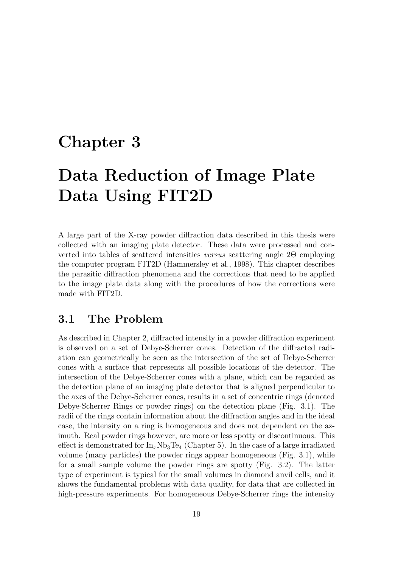## Chapter 3

# Data Reduction of Image Plate Data Using FIT2D

A large part of the X-ray powder diffraction data described in this thesis were collected with an imaging plate detector. These data were processed and converted into tables of scattered intensities versus scattering angle 2Θ employing the computer program FIT2D (Hammersley et al., 1998). This chapter describes the parasitic diffraction phenomena and the corrections that need to be applied to the image plate data along with the procedures of how the corrections were made with FIT2D.

## 3.1 The Problem

As described in Chapter 2, diffracted intensity in a powder diffraction experiment is observed on a set of Debye-Scherrer cones. Detection of the diffracted radiation can geometrically be seen as the intersection of the set of Debye-Scherrer cones with a surface that represents all possible locations of the detector. The intersection of the Debye-Scherrer cones with a plane, which can be regarded as the detection plane of an imaging plate detector that is aligned perpendicular to the axes of the Debye-Scherrer cones, results in a set of concentric rings (denoted Debye-Scherrer Rings or powder rings) on the detection plane (Fig. 3.1). The radii of the rings contain information about the diffraction angles and in the ideal case, the intensity on a ring is homogeneous and does not dependent on the azimuth. Real powder rings however, are more or less spotty or discontinuous. This effect is demonstrated for  $\text{In}_x \text{Nb}_3 \text{Te}_4$  (Chapter 5). In the case of a large irradiated volume (many particles) the powder rings appear homogeneous (Fig. 3.1), while for a small sample volume the powder rings are spotty (Fig. 3.2). The latter type of experiment is typical for the small volumes in diamond anvil cells, and it shows the fundamental problems with data quality, for data that are collected in high-pressure experiments. For homogeneous Debye-Scherrer rings the intensity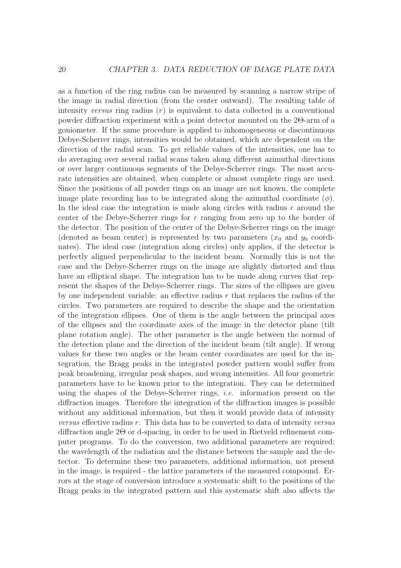as a function of the ring radius can be measured by scanning a narrow stripe of the image in radial direction (from the center outward). The resulting table of intensity versus ring radius  $(r)$  is equivalent to data collected in a conventional powder diffraction experiment with a point detector mounted on the 2Θ-arm of a goniometer. If the same procedure is applied to inhomogeneous or discontinuous Debye-Scherrer rings, intensities would be obtained, which are dependent on the direction of the radial scan. To get reliable values of the intensities, one has to do averaging over several radial scans taken along different azimuthal directions or over larger continuous segments of the Debye-Scherrer rings. The most accurate intensities are obtained, when complete or almost complete rings are used. Since the positions of all powder rings on an image are not known, the complete image plate recording has to be integrated along the azimuthal coordinate  $(\phi)$ . In the ideal case the integration is made along circles with radius r around the center of the Debye-Scherrer rings for r ranging from zero up to the border of the detector. The position of the center of the Debye-Scherrer rings on the image (denoted as beam center) is represented by two parameters  $(x_0$  and  $y_0$  coordinates). The ideal case (integration along circles) only applies, if the detector is perfectly aligned perpendicular to the incident beam. Normally this is not the case and the Debye-Scherrer rings on the image are slightly distorted and thus have an elliptical shape. The integration has to be made along curves that represent the shapes of the Debye-Scherrer rings. The sizes of the ellipses are given by one independent variable: an effective radius  $r$  that replaces the radius of the circles. Two parameters are required to describe the shape and the orientation of the integration ellipses. One of them is the angle between the principal axes of the ellipses and the coordinate axes of the image in the detector plane (tilt plane rotation angle). The other parameter is the angle between the normal of the detection plane and the direction of the incident beam (tilt angle). If wrong values for these two angles or the beam center coordinates are used for the integration, the Bragg peaks in the integrated powder pattern would suffer from peak broadening, irregular peak shapes, and wrong intensities. All four geometric parameters have to be known prior to the integration. They can be determined using the shapes of the Debye-Scherrer rings, i.e. information present on the diffraction images. Therefore the integration of the diffraction images is possible without any additional information, but then it would provide data of intensity *versus* effective radius  $r$ . This data has to be converted to data of intensity versus diffraction angle 2Θ or d-spacing, in order to be used in Rietveld refinement computer programs. To do the conversion, two additional parameters are required: the wavelength of the radiation and the distance between the sample and the detector. To determine these two parameters, additional information, not present in the image, is required - the lattice parameters of the measured compound. Errors at the stage of conversion introduce a systematic shift to the positions of the Bragg peaks in the integrated pattern and this systematic shift also affects the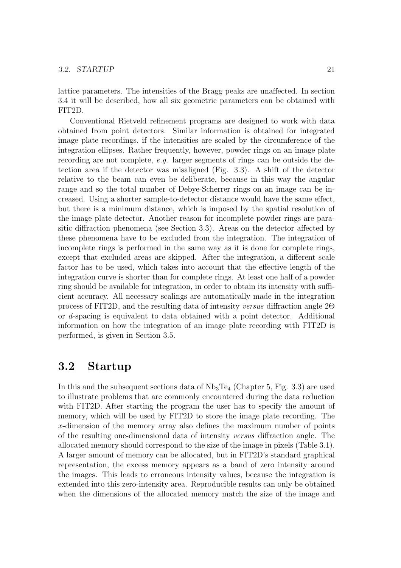lattice parameters. The intensities of the Bragg peaks are unaffected. In section 3.4 it will be described, how all six geometric parameters can be obtained with FIT2D.

Conventional Rietveld refinement programs are designed to work with data obtained from point detectors. Similar information is obtained for integrated image plate recordings, if the intensities are scaled by the circumference of the integration ellipses. Rather frequently, however, powder rings on an image plate recording are not complete, e.g. larger segments of rings can be outside the detection area if the detector was misaligned (Fig. 3.3). A shift of the detector relative to the beam can even be deliberate, because in this way the angular range and so the total number of Debye-Scherrer rings on an image can be increased. Using a shorter sample-to-detector distance would have the same effect, but there is a minimum distance, which is imposed by the spatial resolution of the image plate detector. Another reason for incomplete powder rings are parasitic diffraction phenomena (see Section 3.3). Areas on the detector affected by these phenomena have to be excluded from the integration. The integration of incomplete rings is performed in the same way as it is done for complete rings, except that excluded areas are skipped. After the integration, a different scale factor has to be used, which takes into account that the effective length of the integration curve is shorter than for complete rings. At least one half of a powder ring should be available for integration, in order to obtain its intensity with sufficient accuracy. All necessary scalings are automatically made in the integration process of FIT2D, and the resulting data of intensity versus diffraction angle 2Θ or d-spacing is equivalent to data obtained with a point detector. Additional information on how the integration of an image plate recording with FIT2D is performed, is given in Section 3.5.

### 3.2 Startup

In this and the subsequent sections data of  $Nb<sub>3</sub>Te<sub>4</sub>$  (Chapter 5, Fig. 3.3) are used to illustrate problems that are commonly encountered during the data reduction with FIT2D. After starting the program the user has to specify the amount of memory, which will be used by FIT2D to store the image plate recording. The x-dimension of the memory array also defines the maximum number of points of the resulting one-dimensional data of intensity versus diffraction angle. The allocated memory should correspond to the size of the image in pixels (Table 3.1). A larger amount of memory can be allocated, but in FIT2D's standard graphical representation, the excess memory appears as a band of zero intensity around the images. This leads to erroneous intensity values, because the integration is extended into this zero-intensity area. Reproducible results can only be obtained when the dimensions of the allocated memory match the size of the image and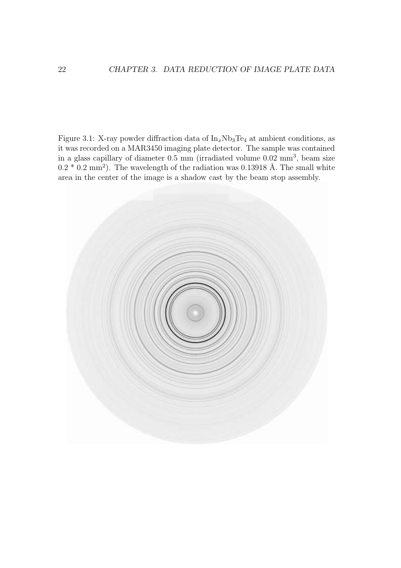Figure 3.1: X-ray powder diffraction data of  $\text{In}_x \text{Nb}_3 \text{Te}_4$  at ambient conditions, as it was recorded on a MAR3450 imaging plate detector. The sample was contained in a glass capillary of diameter 0.5 mm (irradiated volume 0.02 mm<sup>3</sup>, beam size  $0.2 * 0.2$  mm<sup>2</sup>). The wavelength of the radiation was 0.13918 Å. The small white area in the center of the image is a shadow cast by the beam stop assembly.

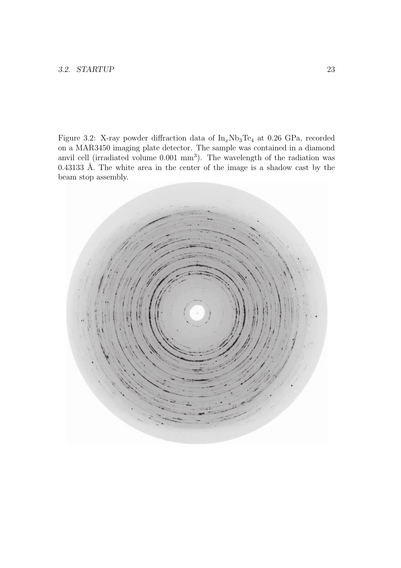Figure 3.2: X-ray powder diffraction data of  $\text{In}_x \text{Nb}_3 \text{Te}_4$  at 0.26 GPa, recorded on a MAR3450 imaging plate detector. The sample was contained in a diamond anvil cell (irradiated volume  $0.001$  mm<sup>3</sup>). The wavelength of the radiation was  $0.43133$  Å. The white area in the center of the image is a shadow cast by the beam stop assembly.

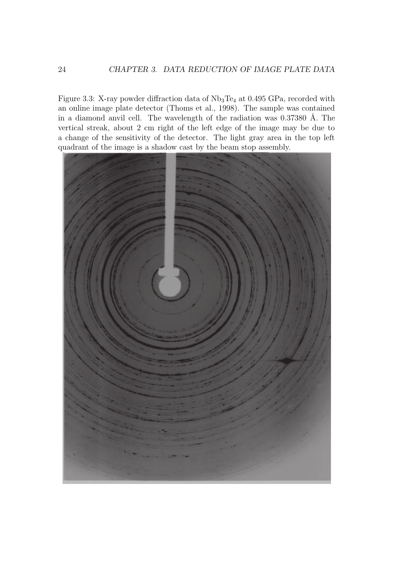Figure 3.3: X-ray powder diffraction data of  $Nb<sub>3</sub>Te<sub>4</sub>$  at 0.495 GPa, recorded with an online image plate detector (Thoms et al., 1998). The sample was contained in a diamond anvil cell. The wavelength of the radiation was  $0.37380$  Å. The vertical streak, about 2 cm right of the left edge of the image may be due to a change of the sensitivity of the detector. The light gray area in the top left quadrant of the image is a shadow cast by the beam stop assembly.

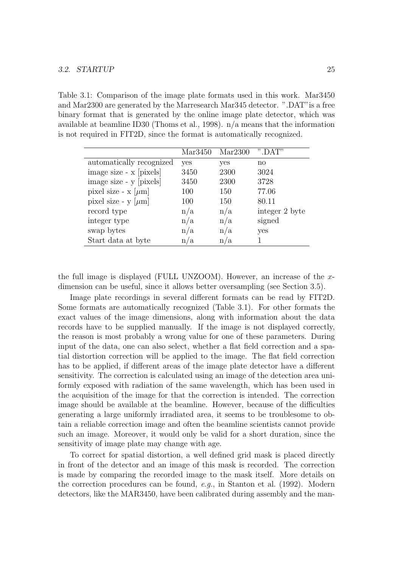Table 3.1: Comparison of the image plate formats used in this work. Mar3450 and Mar2300 are generated by the Marresearch Mar345 detector. ".DAT"is a free binary format that is generated by the online image plate detector, which was available at beamline ID30 (Thoms et al., 1998). n/a means that the information is not required in FIT2D, since the format is automatically recognized.

|                             | Mar3450 | Mar2300 | ".DAT"         |
|-----------------------------|---------|---------|----------------|
| automatically recognized    | yes     | yes     | no             |
| image size - x [pixels]     | 3450    | 2300    | 3024           |
| image size - y [pixels]     | 3450    | 2300    | 3728           |
| pixel size - $x \, [\mu m]$ | 100     | 150     | 77.06          |
| pixel size - y $[\mu m]$    | 100     | 150     | 80.11          |
| record type                 | n/a     | n/a     | integer 2 byte |
| integer type                | n/a     | n/a     | signed         |
| swap bytes                  | n/a     | n/a     | yes            |
| Start data at byte          | n/a     | n/a     |                |

the full image is displayed (FULL UNZOOM). However, an increase of the xdimension can be useful, since it allows better oversampling (see Section 3.5).

Image plate recordings in several different formats can be read by FIT2D. Some formats are automatically recognized (Table 3.1). For other formats the exact values of the image dimensions, along with information about the data records have to be supplied manually. If the image is not displayed correctly, the reason is most probably a wrong value for one of these parameters. During input of the data, one can also select, whether a flat field correction and a spatial distortion correction will be applied to the image. The flat field correction has to be applied, if different areas of the image plate detector have a different sensitivity. The correction is calculated using an image of the detection area uniformly exposed with radiation of the same wavelength, which has been used in the acquisition of the image for that the correction is intended. The correction image should be available at the beamline. However, because of the difficulties generating a large uniformly irradiated area, it seems to be troublesome to obtain a reliable correction image and often the beamline scientists cannot provide such an image. Moreover, it would only be valid for a short duration, since the sensitivity of image plate may change with age.

To correct for spatial distortion, a well defined grid mask is placed directly in front of the detector and an image of this mask is recorded. The correction is made by comparing the recorded image to the mask itself. More details on the correction procedures can be found, e.g., in Stanton et al. (1992). Modern detectors, like the MAR3450, have been calibrated during assembly and the man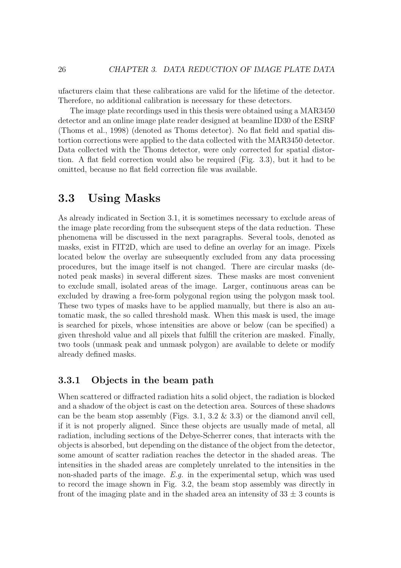ufacturers claim that these calibrations are valid for the lifetime of the detector. Therefore, no additional calibration is necessary for these detectors.

The image plate recordings used in this thesis were obtained using a MAR3450 detector and an online image plate reader designed at beamline ID30 of the ESRF (Thoms et al., 1998) (denoted as Thoms detector). No flat field and spatial distortion corrections were applied to the data collected with the MAR3450 detector. Data collected with the Thoms detector, were only corrected for spatial distortion. A flat field correction would also be required (Fig. 3.3), but it had to be omitted, because no flat field correction file was available.

## 3.3 Using Masks

As already indicated in Section 3.1, it is sometimes necessary to exclude areas of the image plate recording from the subsequent steps of the data reduction. These phenomena will be discussed in the next paragraphs. Several tools, denoted as masks, exist in FIT2D, which are used to define an overlay for an image. Pixels located below the overlay are subsequently excluded from any data processing procedures, but the image itself is not changed. There are circular masks (denoted peak masks) in several different sizes. These masks are most convenient to exclude small, isolated areas of the image. Larger, continuous areas can be excluded by drawing a free-form polygonal region using the polygon mask tool. These two types of masks have to be applied manually, but there is also an automatic mask, the so called threshold mask. When this mask is used, the image is searched for pixels, whose intensities are above or below (can be specified) a given threshold value and all pixels that fulfill the criterion are masked. Finally, two tools (unmask peak and unmask polygon) are available to delete or modify already defined masks.

#### 3.3.1 Objects in the beam path

When scattered or diffracted radiation hits a solid object, the radiation is blocked and a shadow of the object is cast on the detection area. Sources of these shadows can be the beam stop assembly (Figs. 3.1, 3.2  $\&$  3.3) or the diamond anvil cell, if it is not properly aligned. Since these objects are usually made of metal, all radiation, including sections of the Debye-Scherrer cones, that interacts with the objects is absorbed, but depending on the distance of the object from the detector, some amount of scatter radiation reaches the detector in the shaded areas. The intensities in the shaded areas are completely unrelated to the intensities in the non-shaded parts of the image. E.g. in the experimental setup, which was used to record the image shown in Fig. 3.2, the beam stop assembly was directly in front of the imaging plate and in the shaded area an intensity of  $33 \pm 3$  counts is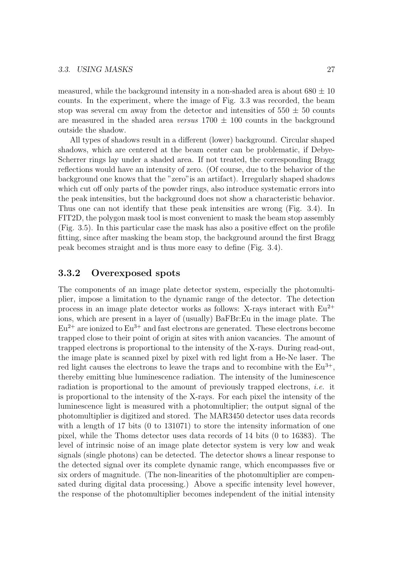measured, while the background intensity in a non-shaded area is about  $680 \pm 10$ counts. In the experiment, where the image of Fig. 3.3 was recorded, the beam stop was several cm away from the detector and intensities of  $550 \pm 50$  counts are measured in the shaded area versus  $1700 \pm 100$  counts in the background outside the shadow.

All types of shadows result in a different (lower) background. Circular shaped shadows, which are centered at the beam center can be problematic, if Debye-Scherrer rings lay under a shaded area. If not treated, the corresponding Bragg reflections would have an intensity of zero. (Of course, due to the behavior of the background one knows that the "zero"is an artifact). Irregularly shaped shadows which cut off only parts of the powder rings, also introduce systematic errors into the peak intensities, but the background does not show a characteristic behavior. Thus one can not identify that these peak intensities are wrong (Fig. 3.4). In FIT2D, the polygon mask tool is most convenient to mask the beam stop assembly (Fig. 3.5). In this particular case the mask has also a positive effect on the profile fitting, since after masking the beam stop, the background around the first Bragg peak becomes straight and is thus more easy to define (Fig. 3.4).

#### 3.3.2 Overexposed spots

The components of an image plate detector system, especially the photomultiplier, impose a limitation to the dynamic range of the detector. The detection process in an image plate detector works as follows: X-rays interact with  $Eu^{2+}$ ions, which are present in a layer of (usually) BaFBr:Eu in the image plate. The  $Eu^{2+}$  are ionized to  $Eu^{3+}$  and fast electrons are generated. These electrons become trapped close to their point of origin at sites with anion vacancies. The amount of trapped electrons is proportional to the intensity of the X-rays. During read-out, the image plate is scanned pixel by pixel with red light from a He-Ne laser. The red light causes the electrons to leave the traps and to recombine with the  $Eu^{3+}$ , thereby emitting blue luminescence radiation. The intensity of the luminescence radiation is proportional to the amount of previously trapped electrons, *i.e.* it is proportional to the intensity of the X-rays. For each pixel the intensity of the luminescence light is measured with a photomultiplier; the output signal of the photomultiplier is digitized and stored. The MAR3450 detector uses data records with a length of 17 bits (0 to 131071) to store the intensity information of one pixel, while the Thoms detector uses data records of 14 bits (0 to 16383). The level of intrinsic noise of an image plate detector system is very low and weak signals (single photons) can be detected. The detector shows a linear response to the detected signal over its complete dynamic range, which encompasses five or six orders of magnitude. (The non-linearities of the photomultiplier are compensated during digital data processing.) Above a specific intensity level however, the response of the photomultiplier becomes independent of the initial intensity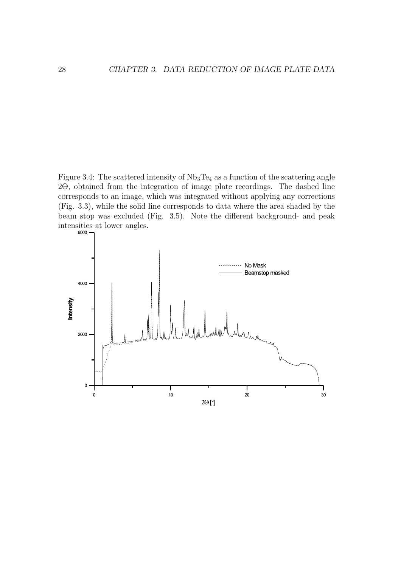Figure 3.4: The scattered intensity of  $Nb<sub>3</sub>Te<sub>4</sub>$  as a function of the scattering angle 2Θ, obtained from the integration of image plate recordings. The dashed line corresponds to an image, which was integrated without applying any corrections (Fig. 3.3), while the solid line corresponds to data where the area shaded by the beam stop was excluded (Fig. 3.5). Note the different background- and peak intensities at lower angles.<br> $\overline{\phantom{a}}$ 

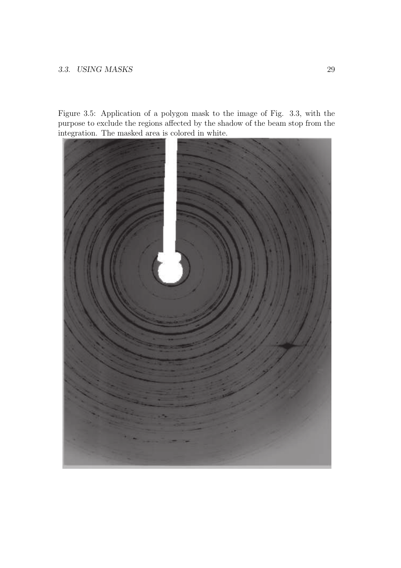Figure 3.5: Application of a polygon mask to the image of Fig. 3.3, with the purpose to exclude the regions affected by the shadow of the beam stop from the integration. The masked area is colored in white.

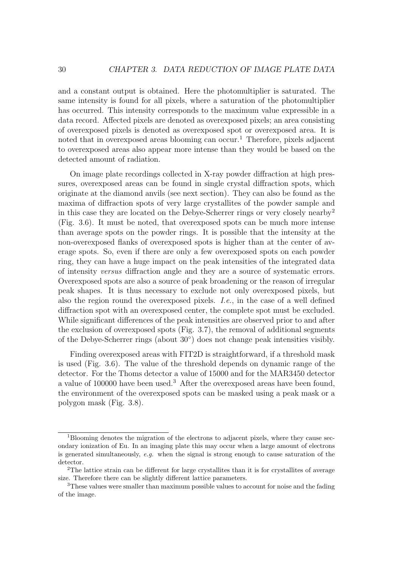and a constant output is obtained. Here the photomultiplier is saturated. The same intensity is found for all pixels, where a saturation of the photomultiplier has occurred. This intensity corresponds to the maximum value expressible in a data record. Affected pixels are denoted as overexposed pixels; an area consisting of overexposed pixels is denoted as overexposed spot or overexposed area. It is noted that in overexposed areas blooming can occur.<sup>1</sup> Therefore, pixels adjacent to overexposed areas also appear more intense than they would be based on the detected amount of radiation.

On image plate recordings collected in X-ray powder diffraction at high pressures, overexposed areas can be found in single crystal diffraction spots, which originate at the diamond anvils (see next section). They can also be found as the maxima of diffraction spots of very large crystallites of the powder sample and in this case they are located on the Debye-Scherrer rings or very closely nearby 2 (Fig. 3.6). It must be noted, that overexposed spots can be much more intense than average spots on the powder rings. It is possible that the intensity at the non-overexposed flanks of overexposed spots is higher than at the center of average spots. So, even if there are only a few overexposed spots on each powder ring, they can have a huge impact on the peak intensities of the integrated data of intensity versus diffraction angle and they are a source of systematic errors. Overexposed spots are also a source of peak broadening or the reason of irregular peak shapes. It is thus necessary to exclude not only overexposed pixels, but also the region round the overexposed pixels. I.e., in the case of a well defined diffraction spot with an overexposed center, the complete spot must be excluded. While significant differences of the peak intensities are observed prior to and after the exclusion of overexposed spots (Fig. 3.7), the removal of additional segments of the Debye-Scherrer rings (about 30◦ ) does not change peak intensities visibly.

Finding overexposed areas with FIT2D is straightforward, if a threshold mask is used (Fig. 3.6). The value of the threshold depends on dynamic range of the detector. For the Thoms detector a value of 15000 and for the MAR3450 detector a value of 100000 have been used.<sup>3</sup> After the overexposed areas have been found, the environment of the overexposed spots can be masked using a peak mask or a polygon mask (Fig. 3.8).

<sup>1</sup>Blooming denotes the migration of the electrons to adjacent pixels, where they cause secondary ionization of Eu. In an imaging plate this may occur when a large amount of electrons is generated simultaneously, e.g. when the signal is strong enough to cause saturation of the detector.

<sup>&</sup>lt;sup>2</sup>The lattice strain can be different for large crystallites than it is for crystallites of average size. Therefore there can be slightly different lattice parameters.

<sup>3</sup>These values were smaller than maximum possible values to account for noise and the fading of the image.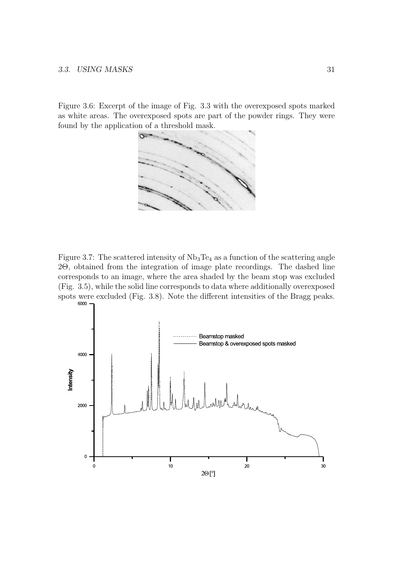#### 3.3. USING MASKS 31

Figure 3.6: Excerpt of the image of Fig. 3.3 with the overexposed spots marked as white areas. The overexposed spots are part of the powder rings. They were found by the application of a threshold mask.



Figure 3.7: The scattered intensity of  $Nb<sub>3</sub>Te<sub>4</sub>$  as a function of the scattering angle 2Θ, obtained from the integration of image plate recordings. The dashed line corresponds to an image, where the area shaded by the beam stop was excluded (Fig. 3.5), while the solid line corresponds to data where additionally overexposed spots were excluded (Fig. 3.8). Note the different intensities of the Bragg peaks.<br> $\frac{6000}{2}$ 

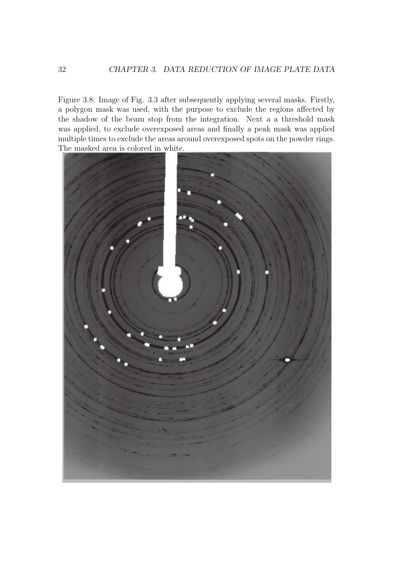Figure 3.8: Image of Fig. 3.3 after subsequently applying several masks. Firstly, a polygon mask was used, with the purpose to exclude the regions affected by the shadow of the beam stop from the integration. Next a a threshold mask was applied, to exclude overexposed areas and finally a peak mask was applied multiple times to exclude the areas around overexposed spots on the powder rings. The masked area is colored in white.

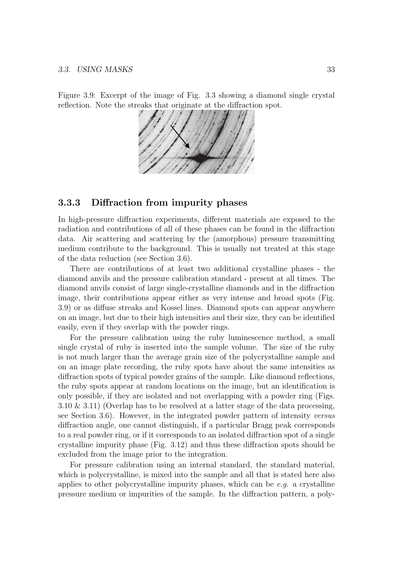Figure 3.9: Excerpt of the image of Fig. 3.3 showing a diamond single crystal reflection. Note the streaks that originate at the diffraction spot.



#### 3.3.3 Diffraction from impurity phases

In high-pressure diffraction experiments, different materials are exposed to the radiation and contributions of all of these phases can be found in the diffraction data. Air scattering and scattering by the (amorphous) pressure transmitting medium contribute to the background. This is usually not treated at this stage of the data reduction (see Section 3.6).

There are contributions of at least two additional crystalline phases - the diamond anvils and the pressure calibration standard - present at all times. The diamond anvils consist of large single-crystalline diamonds and in the diffraction image, their contributions appear either as very intense and broad spots (Fig. 3.9) or as diffuse streaks and Kossel lines. Diamond spots can appear anywhere on an image, but due to their high intensities and their size, they can be identified easily, even if they overlap with the powder rings.

For the pressure calibration using the ruby luminescence method, a small single crystal of ruby is inserted into the sample volume. The size of the ruby is not much larger than the average grain size of the polycrystalline sample and on an image plate recording, the ruby spots have about the same intensities as diffraction spots of typical powder grains of the sample. Like diamond reflections, the ruby spots appear at random locations on the image, but an identification is only possible, if they are isolated and not overlapping with a powder ring (Figs. 3.10 & 3.11) (Overlap has to be resolved at a latter stage of the data processing, see Section 3.6). However, in the integrated powder pattern of intensity versus diffraction angle, one cannot distinguish, if a particular Bragg peak corresponds to a real powder ring, or if it corresponds to an isolated diffraction spot of a single crystalline impurity phase (Fig. 3.12) and thus these diffraction spots should be excluded from the image prior to the integration.

For pressure calibration using an internal standard, the standard material, which is polycrystalline, is mixed into the sample and all that is stated here also applies to other polycrystalline impurity phases, which can be  $e.g.$  a crystalline pressure medium or impurities of the sample. In the diffraction pattern, a poly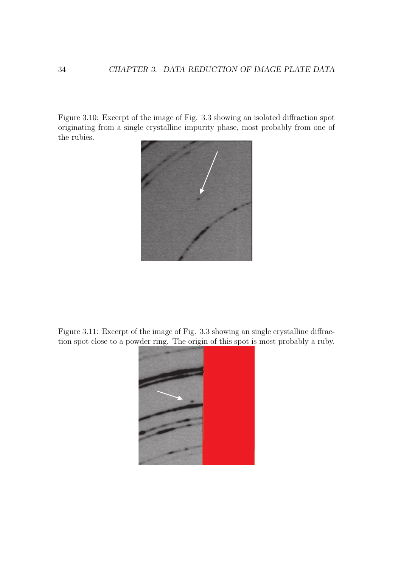Figure 3.10: Excerpt of the image of Fig. 3.3 showing an isolated diffraction spot originating from a single crystalline impurity phase, most probably from one of the rubies.



Figure 3.11: Excerpt of the image of Fig. 3.3 showing an single crystalline diffraction spot close to a powder ring. The origin of this spot is most probably a ruby.

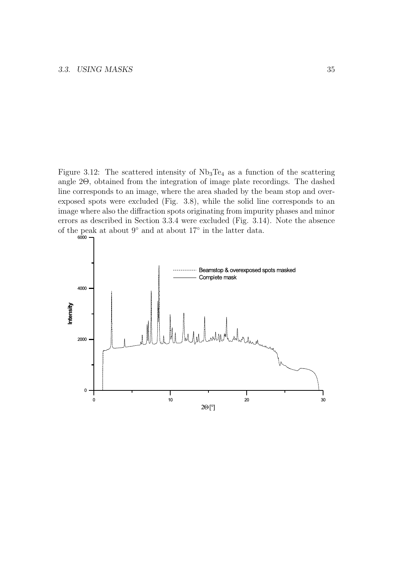Figure 3.12: The scattered intensity of  $Nb<sub>3</sub>Te<sub>4</sub>$  as a function of the scattering angle 2Θ, obtained from the integration of image plate recordings. The dashed line corresponds to an image, where the area shaded by the beam stop and overexposed spots were excluded (Fig. 3.8), while the solid line corresponds to an image where also the diffraction spots originating from impurity phases and minor errors as described in Section 3.3.4 were excluded (Fig. 3.14). Note the absence of the peak at about 9 ◦ and at about 17◦ in the latter data.

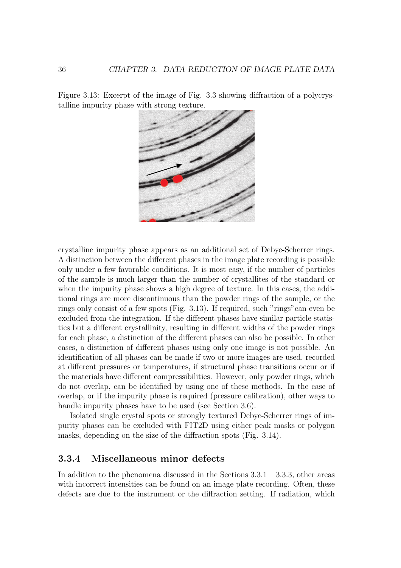Figure 3.13: Excerpt of the image of Fig. 3.3 showing diffraction of a polycrystalline impurity phase with strong texture.



crystalline impurity phase appears as an additional set of Debye-Scherrer rings. A distinction between the different phases in the image plate recording is possible only under a few favorable conditions. It is most easy, if the number of particles of the sample is much larger than the number of crystallites of the standard or when the impurity phase shows a high degree of texture. In this cases, the additional rings are more discontinuous than the powder rings of the sample, or the rings only consist of a few spots (Fig. 3.13). If required, such "rings"can even be excluded from the integration. If the different phases have similar particle statistics but a different crystallinity, resulting in different widths of the powder rings for each phase, a distinction of the different phases can also be possible. In other cases, a distinction of different phases using only one image is not possible. An identification of all phases can be made if two or more images are used, recorded at different pressures or temperatures, if structural phase transitions occur or if the materials have different compressibilities. However, only powder rings, which do not overlap, can be identified by using one of these methods. In the case of overlap, or if the impurity phase is required (pressure calibration), other ways to handle impurity phases have to be used (see Section 3.6).

Isolated single crystal spots or strongly textured Debye-Scherrer rings of impurity phases can be excluded with FIT2D using either peak masks or polygon masks, depending on the size of the diffraction spots (Fig. 3.14).

#### 3.3.4 Miscellaneous minor defects

In addition to the phenomena discussed in the Sections 3.3.1 – 3.3.3, other areas with incorrect intensities can be found on an image plate recording. Often, these defects are due to the instrument or the diffraction setting. If radiation, which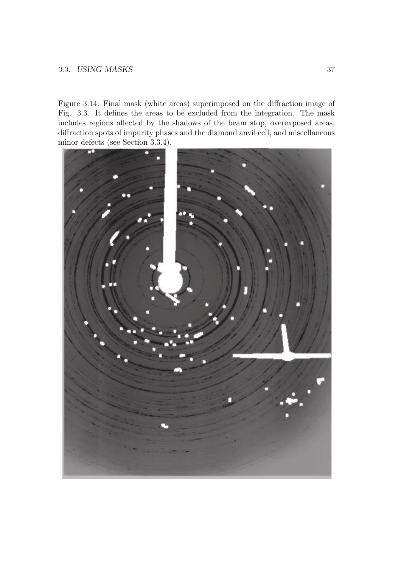#### 3.3. USING MASKS 37

Figure 3.14: Final mask (white areas) superimposed on the diffraction image of Fig. 3.3. It defines the areas to be excluded from the integration. The mask includes regions affected by the shadows of the beam stop, overexposed areas, diffraction spots of impurity phases and the diamond anvil cell, and miscellaneous minor defects (see Section 3.3.4).

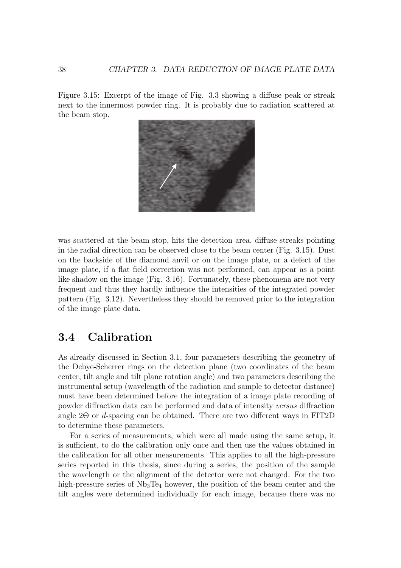Figure 3.15: Excerpt of the image of Fig. 3.3 showing a diffuse peak or streak next to the innermost powder ring. It is probably due to radiation scattered at the beam stop.



was scattered at the beam stop, hits the detection area, diffuse streaks pointing in the radial direction can be observed close to the beam center (Fig. 3.15). Dust on the backside of the diamond anvil or on the image plate, or a defect of the image plate, if a flat field correction was not performed, can appear as a point like shadow on the image (Fig. 3.16). Fortunately, these phenomena are not very frequent and thus they hardly influence the intensities of the integrated powder pattern (Fig. 3.12). Nevertheless they should be removed prior to the integration of the image plate data.

## 3.4 Calibration

As already discussed in Section 3.1, four parameters describing the geometry of the Debye-Scherrer rings on the detection plane (two coordinates of the beam center, tilt angle and tilt plane rotation angle) and two parameters describing the instrumental setup (wavelength of the radiation and sample to detector distance) must have been determined before the integration of a image plate recording of powder diffraction data can be performed and data of intensity versus diffraction angle 2Θ or d-spacing can be obtained. There are two different ways in FIT2D to determine these parameters.

For a series of measurements, which were all made using the same setup, it is sufficient, to do the calibration only once and then use the values obtained in the calibration for all other measurements. This applies to all the high-pressure series reported in this thesis, since during a series, the position of the sample the wavelength or the alignment of the detector were not changed. For the two high-pressure series of  $Nb<sub>3</sub>Te<sub>4</sub>$  however, the position of the beam center and the tilt angles were determined individually for each image, because there was no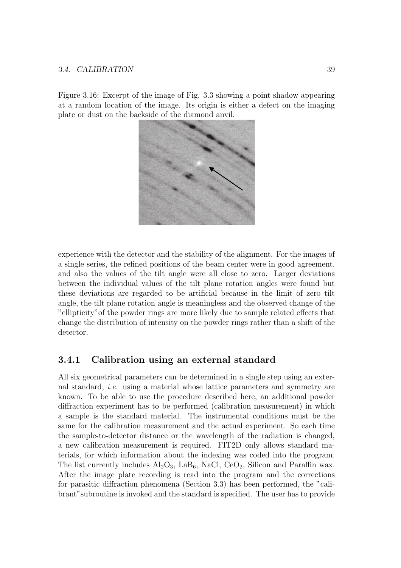#### 3.4. CALIBRATION 39

Figure 3.16: Excerpt of the image of Fig. 3.3 showing a point shadow appearing at a random location of the image. Its origin is either a defect on the imaging plate or dust on the backside of the diamond anvil.



experience with the detector and the stability of the alignment. For the images of a single series, the refined positions of the beam center were in good agreement, and also the values of the tilt angle were all close to zero. Larger deviations between the individual values of the tilt plane rotation angles were found but these deviations are regarded to be artificial because in the limit of zero tilt angle, the tilt plane rotation angle is meaningless and the observed change of the "ellipticity"of the powder rings are more likely due to sample related effects that change the distribution of intensity on the powder rings rather than a shift of the detector.

#### 3.4.1 Calibration using an external standard

All six geometrical parameters can be determined in a single step using an external standard, i.e. using a material whose lattice parameters and symmetry are known. To be able to use the procedure described here, an additional powder diffraction experiment has to be performed (calibration measurement) in which a sample is the standard material. The instrumental conditions must be the same for the calibration measurement and the actual experiment. So each time the sample-to-detector distance or the wavelength of the radiation is changed, a new calibration measurement is required. FIT2D only allows standard materials, for which information about the indexing was coded into the program. The list currently includes  $\text{Al}_2\text{O}_3$ , LaB<sub>6</sub>, NaCl, CeO<sub>2</sub>, Silicon and Paraffin wax. After the image plate recording is read into the program and the corrections for parasitic diffraction phenomena (Section 3.3) has been performed, the "calibrant"subroutine is invoked and the standard is specified. The user has to provide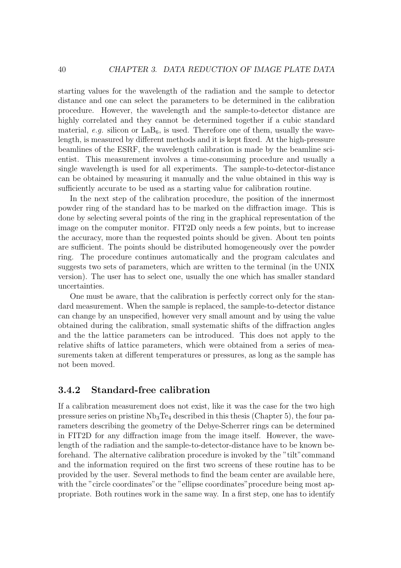starting values for the wavelength of the radiation and the sample to detector distance and one can select the parameters to be determined in the calibration procedure. However, the wavelength and the sample-to-detector distance are highly correlated and they cannot be determined together if a cubic standard material, e.g. silicon or  $LaB_6$ , is used. Therefore one of them, usually the wavelength, is measured by different methods and it is kept fixed. At the high-pressure beamlines of the ESRF, the wavelength calibration is made by the beamline scientist. This measurement involves a time-consuming procedure and usually a single wavelength is used for all experiments. The sample-to-detector-distance can be obtained by measuring it manually and the value obtained in this way is sufficiently accurate to be used as a starting value for calibration routine.

In the next step of the calibration procedure, the position of the innermost powder ring of the standard has to be marked on the diffraction image. This is done by selecting several points of the ring in the graphical representation of the image on the computer monitor. FIT2D only needs a few points, but to increase the accuracy, more than the requested points should be given. About ten points are sufficient. The points should be distributed homogeneously over the powder ring. The procedure continues automatically and the program calculates and suggests two sets of parameters, which are written to the terminal (in the UNIX version). The user has to select one, usually the one which has smaller standard uncertainties.

One must be aware, that the calibration is perfectly correct only for the standard measurement. When the sample is replaced, the sample-to-detector distance can change by an unspecified, however very small amount and by using the value obtained during the calibration, small systematic shifts of the diffraction angles and the the lattice parameters can be introduced. This does not apply to the relative shifts of lattice parameters, which were obtained from a series of measurements taken at different temperatures or pressures, as long as the sample has not been moved.

#### 3.4.2 Standard-free calibration

If a calibration measurement does not exist, like it was the case for the two high pressure series on pristine  $Nb<sub>3</sub>Te<sub>4</sub>$  described in this thesis (Chapter 5), the four parameters describing the geometry of the Debye-Scherrer rings can be determined in FIT2D for any diffraction image from the image itself. However, the wavelength of the radiation and the sample-to-detector-distance have to be known beforehand. The alternative calibration procedure is invoked by the "tilt"command and the information required on the first two screens of these routine has to be provided by the user. Several methods to find the beam center are available here, with the "circle coordinates" or the "ellipse coordinates" procedure being most appropriate. Both routines work in the same way. In a first step, one has to identify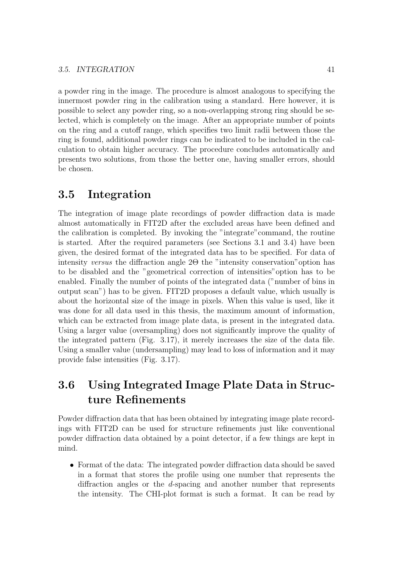a powder ring in the image. The procedure is almost analogous to specifying the innermost powder ring in the calibration using a standard. Here however, it is possible to select any powder ring, so a non-overlapping strong ring should be selected, which is completely on the image. After an appropriate number of points on the ring and a cutoff range, which specifies two limit radii between those the ring is found, additional powder rings can be indicated to be included in the calculation to obtain higher accuracy. The procedure concludes automatically and presents two solutions, from those the better one, having smaller errors, should be chosen.

## 3.5 Integration

The integration of image plate recordings of powder diffraction data is made almost automatically in FIT2D after the excluded areas have been defined and the calibration is completed. By invoking the "integrate"command, the routine is started. After the required parameters (see Sections 3.1 and 3.4) have been given, the desired format of the integrated data has to be specified. For data of intensity versus the diffraction angle 2Θ the "intensity conservation"option has to be disabled and the "geometrical correction of intensities"option has to be enabled. Finally the number of points of the integrated data ("number of bins in output scan") has to be given. FIT2D proposes a default value, which usually is about the horizontal size of the image in pixels. When this value is used, like it was done for all data used in this thesis, the maximum amount of information, which can be extracted from image plate data, is present in the integrated data. Using a larger value (oversampling) does not significantly improve the quality of the integrated pattern (Fig. 3.17), it merely increases the size of the data file. Using a smaller value (undersampling) may lead to loss of information and it may provide false intensities (Fig. 3.17).

## 3.6 Using Integrated Image Plate Data in Structure Refinements

Powder diffraction data that has been obtained by integrating image plate recordings with FIT2D can be used for structure refinements just like conventional powder diffraction data obtained by a point detector, if a few things are kept in mind.

• Format of the data: The integrated powder diffraction data should be saved in a format that stores the profile using one number that represents the diffraction angles or the d-spacing and another number that represents the intensity. The CHI-plot format is such a format. It can be read by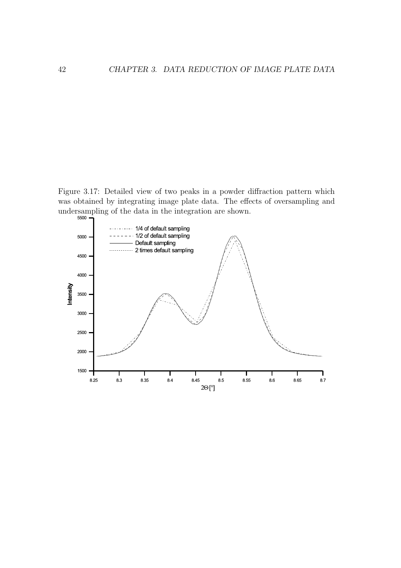Figure 3.17: Detailed view of two peaks in a powder diffraction pattern which was obtained by integrating image plate data. The effects of oversampling and undersampling of the data in the integration are shown.

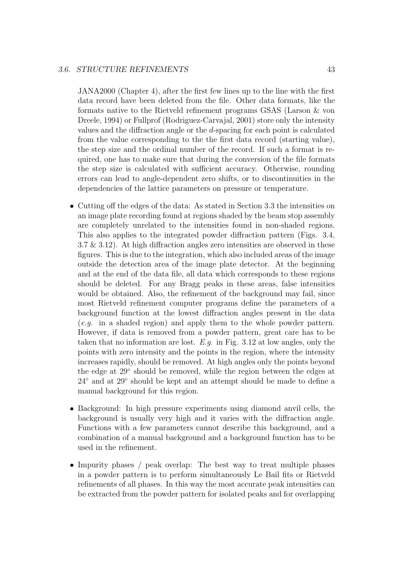#### 3.6. STRUCTURE REFINEMENTS 43

JANA2000 (Chapter 4), after the first few lines up to the line with the first data record have been deleted from the file. Other data formats, like the formats native to the Rietveld refinement programs GSAS (Larson & von Dreele, 1994) or Fullprof (Rodriguez-Carvajal, 2001) store only the intensity values and the diffraction angle or the d-spacing for each point is calculated from the value corresponding to the the first data record (starting value), the step size and the ordinal number of the record. If such a format is required, one has to make sure that during the conversion of the file formats the step size is calculated with sufficient accuracy. Otherwise, rounding errors can lead to angle-dependent zero shifts, or to discontinuities in the dependencies of the lattice parameters on pressure or temperature.

- Cutting off the edges of the data: As stated in Section 3.3 the intensities on an image plate recording found at regions shaded by the beam stop assembly are completely unrelated to the intensities found in non-shaded regions. This also applies to the integrated powder diffraction pattern (Figs. 3.4, 3.7 & 3.12). At high diffraction angles zero intensities are observed in these figures. This is due to the integration, which also included areas of the image outside the detection area of the image plate detector. At the beginning and at the end of the data file, all data which corresponds to these regions should be deleted. For any Bragg peaks in these areas, false intensities would be obtained. Also, the refinement of the background may fail, since most Rietveld refinement computer programs define the parameters of a background function at the lowest diffraction angles present in the data (e.g. in a shaded region) and apply them to the whole powder pattern. However, if data is removed from a powder pattern, great care has to be taken that no information are lost. E.g. in Fig.  $3.12$  at low angles, only the points with zero intensity and the points in the region, where the intensity increases rapidly, should be removed. At high angles only the points beyond the edge at 29◦ should be removed, while the region between the edges at 24◦ and at 29◦ should be kept and an attempt should be made to define a manual background for this region.
- Background: In high pressure experiments using diamond anvil cells, the background is usually very high and it varies with the diffraction angle. Functions with a few parameters cannot describe this background, and a combination of a manual background and a background function has to be used in the refinement.
- Impurity phases / peak overlap: The best way to treat multiple phases in a powder pattern is to perform simultaneously Le Bail fits or Rietveld refinements of all phases. In this way the most accurate peak intensities can be extracted from the powder pattern for isolated peaks and for overlapping